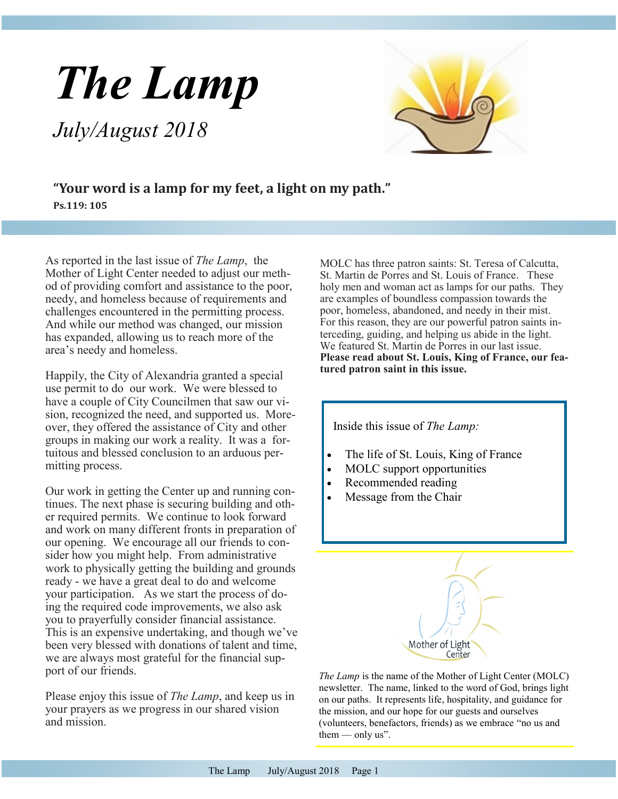# *The Lamp*

*July/August 2018*



**"Your word is a lamp for my feet, a light on my path." Ps.119: 105**

As reported in the last issue of *The Lamp*, the Mother of Light Center needed to adjust our method of providing comfort and assistance to the poor, needy, and homeless because of requirements and challenges encountered in the permitting process. And while our method was changed, our mission has expanded, allowing us to reach more of the area's needy and homeless.

Happily, the City of Alexandria granted a special use permit to do our work. We were blessed to have a couple of City Councilmen that saw our vision, recognized the need, and supported us. Moreover, they offered the assistance of City and other groups in making our work a reality. It was a fortuitous and blessed conclusion to an arduous permitting process.

Our work in getting the Center up and running continues. The next phase is securing building and other required permits. We continue to look forward and work on many different fronts in preparation of our opening. We encourage all our friends to consider how you might help. From administrative work to physically getting the building and grounds ready - we have a great deal to do and welcome your participation. As we start the process of doing the required code improvements, we also ask you to prayerfully consider financial assistance. This is an expensive undertaking, and though we've been very blessed with donations of talent and time, we are always most grateful for the financial support of our friends.

Please enjoy this issue of *The Lamp*, and keep us in your prayers as we progress in our shared vision and mission.

MOLC has three patron saints: St. Teresa of Calcutta, St. Martin de Porres and St. Louis of France. These holy men and woman act as lamps for our paths. They are examples of boundless compassion towards the poor, homeless, abandoned, and needy in their mist. For this reason, they are our powerful patron saints interceding, guiding, and helping us abide in the light. We featured St. Martin de Porres in our last issue. **Please read about St. Louis, King of France, our featured patron saint in this issue.**



*The Lamp* is the name of the Mother of Light Center (MOLC) newsletter. The name, linked to the word of God, brings light on our paths. It represents life, hospitality, and guidance for the mission, and our hope for our guests and ourselves (volunteers, benefactors, friends) as we embrace "no us and them  $-$  only us".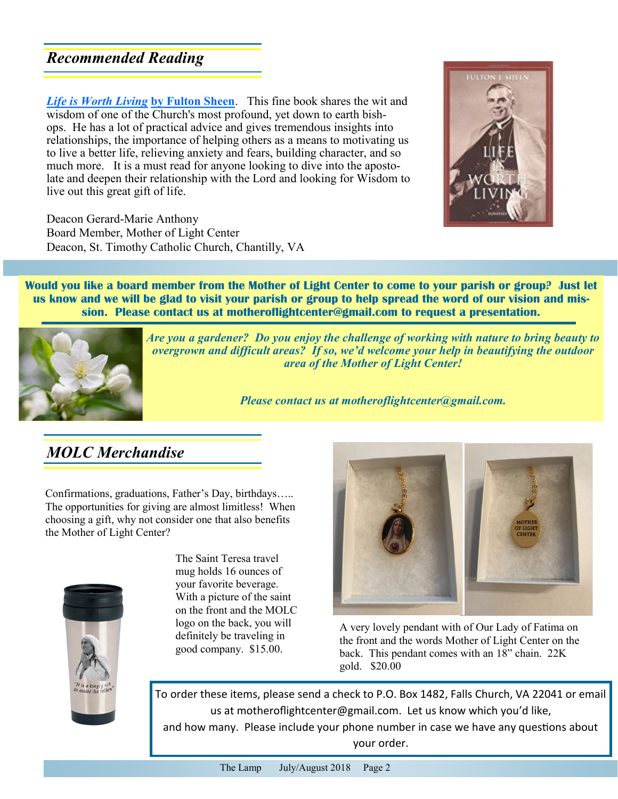## *Recommended Reading*

live out this great gift of life.

Deacon Gerard-Marie Anthony Board Member, Mother of Light Center Deacon, St. Timothy Catholic Church, Chantilly, VA

*Life is Worth Living* **by Fulton Sheen**. This fine book shares the wit and wisdom of one of the Church's most profound, yet down to earth bishops. He has a lot of practical advice and gives tremendous insights into relationships, the importance of helping others as a means to motivating us to live a better life, relieving anxiety and fears, building character, and so much more. It is a must read for anyone looking to dive into the apostolate and deepen their relationship with the Lord and looking for Wisdom to

**Would you like a board member from the Mother of Light Center to come to your parish or group? Just let us know and we will be glad to visit your parish or group to help spread the word of our vision and mission. Please contact us at motheroflightcenter@gmail.com to request a presentation.** 



*Are you a gardener? Do you enjoy the challenge of working with nature to bring beauty to overgrown and difficult areas? If so, we'd welcome your help in beautifying the outdoor area of the Mother of Light Center!* 

*Please contact us at motheroflightcenter@gmail.com.*

# *MOLC Merchandise*

Confirmations, graduations, Father's Day, birthdays….. The opportunities for giving are almost limitless! When choosing a gift, why not consider one that also benefits the Mother of Light Center?



The Saint Teresa travel mug holds 16 ounces of your favorite beverage. With a picture of the saint on the front and the MOLC logo on the back, you will definitely be traveling in good company. \$15.00.



A very lovely pendant with of Our Lady of Fatima on the front and the words Mother of Light Center on the back. This pendant comes with an 18" chain. 22K gold. \$20.00

To order these items, please send a check to P.O. Box 1482, Falls Church, VA 22041 or email us at motherofightcenter@gmail.com. Let us know which you'd like, and how many. Please include your phone number in case we have any questions about your order.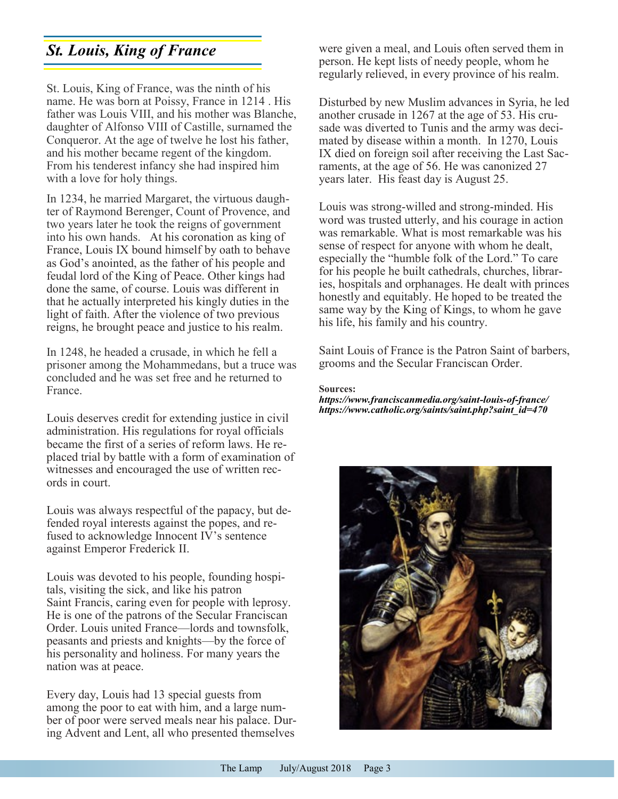# *St. Louis, King of France*

St. Louis, King of France, was the ninth of his name. He was born at Poissy, France in 1214 . His father was Louis VIII, and his mother was Blanche, daughter of Alfonso VIII of Castille, surnamed the Conqueror. At the age of twelve he lost his father, and his mother became regent of the kingdom. From his tenderest infancy she had inspired him with a love for holy things.

In 1234, he married Margaret, the virtuous daughter of Raymond Berenger, Count of Provence, and two years later he took the reigns of government into his own hands. At his coronation as king of France, Louis IX bound himself by oath to behave as God's anointed, as the father of his people and feudal lord of the King of Peace. Other kings had done the same, of course. Louis was different in that he actually interpreted his kingly duties in the light of faith. After the violence of two previous reigns, he brought peace and justice to his realm.

In 1248, he headed a crusade, in which he fell a prisoner among the Mohammedans, but a truce was concluded and he was set free and he returned to France.

Louis deserves credit for extending justice in civil administration. His regulations for royal officials became the first of a series of reform laws. He replaced trial by battle with a form of examination of witnesses and encouraged the use of written records in court.

Louis was always respectful of the papacy, but defended royal interests against the popes, and refused to acknowledge Innocent IV's sentence against Emperor Frederick II.

Louis was devoted to his people, founding hospitals, visiting the sick, and like his patron Saint Francis, caring even for people with leprosy. He is one of the patrons of the Secular Franciscan Order. Louis united France—lords and townsfolk, peasants and priests and knights—by the force of his personality and holiness. For many years the nation was at peace.

Every day, Louis had 13 special guests from among the poor to eat with him, and a large number of poor were served meals near his palace. During Advent and Lent, all who presented themselves were given a meal, and Louis often served them in person. He kept lists of needy people, whom he regularly relieved, in every province of his realm.

Disturbed by new Muslim advances in Syria, he led another crusade in 1267 at the age of 53. His crusade was diverted to Tunis and the army was decimated by disease within a month. In 1270, Louis IX died on foreign soil after receiving the Last Sacraments, at the age of 56. He was canonized 27 years later. His feast day is August 25.

Louis was strong-willed and strong-minded. His word was trusted utterly, and his courage in action was remarkable. What is most remarkable was his sense of respect for anyone with whom he dealt, especially the "humble folk of the Lord." To care for his people he built cathedrals, churches, libraries, hospitals and orphanages. He dealt with princes honestly and equitably. He hoped to be treated the same way by the King of Kings, to whom he gave his life, his family and his country.

Saint Louis of France is the Patron Saint of barbers, grooms and the Secular Franciscan Order.

#### **Sources:**

*https://www.franciscanmedia.org/saint-louis-of-france/ https://www.catholic.org/saints/saint.php?saint\_id=470*